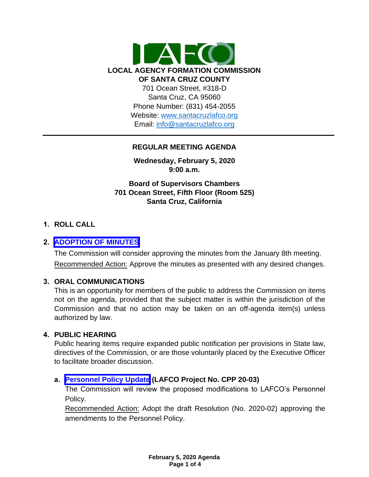

### **REGULAR MEETING AGENDA**

**Wednesday, February 5, 2020 9:00 a.m.**

**Board of Supervisors Chambers 701 Ocean Street, Fifth Floor (Room 525) Santa Cruz, California**

### **1. ROLL CALL**

### **2. [ADOPTION OF MINUTES](https://www.santacruzlafco.org/wp-content/uploads/2020/01/2.0-1-8-20-Minutes.pdf)**

The Commission will consider approving the minutes from the January 8th meeting. Recommended Action: Approve the minutes as presented with any desired changes.

### **3. ORAL COMMUNICATIONS**

This is an opportunity for members of the public to address the Commission on items not on the agenda, provided that the subject matter is within the jurisdiction of the Commission and that no action may be taken on an off-agenda item(s) unless authorized by law.

#### **4. PUBLIC HEARING**

Public hearing items require expanded public notification per provisions in State law, directives of the Commission, or are those voluntarily placed by the Executive Officer to facilitate broader discussion.

### **a. [Personnel Policy Update](https://www.santacruzlafco.org/wp-content/uploads/2020/01/4a.0-Personnel-Policy-Update-Staff-Report-FINAL.pdf) (LAFCO Project No. CPP 20-03)**

The Commission will review the proposed modifications to LAFCO's Personnel Policy.

Recommended Action: Adopt the draft Resolution (No. 2020-02) approving the amendments to the Personnel Policy.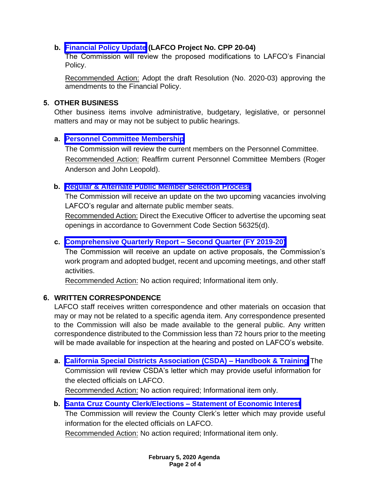## **b. [Financial Policy Update](https://www.santacruzlafco.org/wp-content/uploads/2020/01/4b.0-Financial-Policy-Update-Staff-Report-FINAL.pdf) (LAFCO Project No. CPP 20-04)**

The Commission will review the proposed modifications to LAFCO's Financial Policy.

Recommended Action: Adopt the draft Resolution (No. 2020-03) approving the amendments to the Financial Policy.

### **5. OTHER BUSINESS**

Other business items involve administrative, budgetary, legislative, or personnel matters and may or may not be subject to public hearings.

## **a. [Personnel Committee Membership](https://www.santacruzlafco.org/wp-content/uploads/2020/01/5a.0-Appoint-Personnel-Committee-Staff-Report-FINAL.pdf)**

The Commission will review the current members on the Personnel Committee. Recommended Action: Reaffirm current Personnel Committee Members (Roger Anderson and John Leopold).

## **b. [Regular & Alternate Public Member Selection Process](https://www.santacruzlafco.org/wp-content/uploads/2020/03/5b.0-Public-Member-Seats-Staff-Report-FINAL.pdf)**

The Commission will receive an update on the two upcoming vacancies involving LAFCO's regular and alternate public member seats.

Recommended Action: Direct the Executive Officer to advertise the upcoming seat openings in accordance to Government Code Section 56325(d).

## **c. [Comprehensive Quarterly Report –](https://www.santacruzlafco.org/wp-content/uploads/2020/01/5c.0-Comp-Quarterly-Update-Staff-Report.pdf) Second Quarter (FY 2019-20)**

The Commission will receive an update on active proposals, the Commission's work program and adopted budget, recent and upcoming meetings, and other staff activities.

Recommended Action: No action required; Informational item only.

## **6. WRITTEN CORRESPONDENCE**

LAFCO staff receives written correspondence and other materials on occasion that may or may not be related to a specific agenda item. Any correspondence presented to the Commission will also be made available to the general public. Any written correspondence distributed to the Commission less than 72 hours prior to the meeting will be made available for inspection at the hearing and posted on LAFCO's website.

**a. [California Special Districts Association \(CSDA\) –](https://www.santacruzlafco.org/wp-content/uploads/2020/01/6a.0-CSDA-Letter.pdf) Handbook & Training** The Commission will review CSDA's letter which may provide useful information for the elected officials on LAFCO. Recommended Action: No action required; Informational item only.

**b. [Santa Cruz County Clerk/Elections –](https://www.santacruzlafco.org/wp-content/uploads/2020/01/6b.0-Elections-Letter.pdf) Statement of Economic Interest** The Commission will review the County Clerk's letter which may provide useful information for the elected officials on LAFCO. Recommended Action: No action required; Informational item only.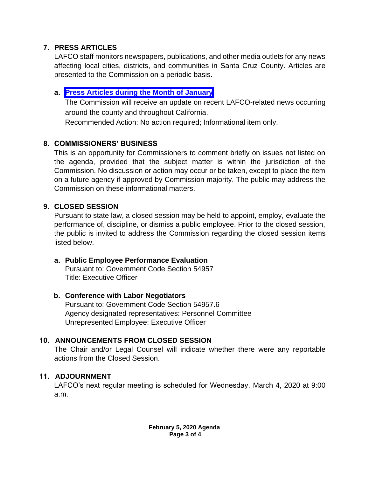# **7. PRESS ARTICLES**

LAFCO staff monitors newspapers, publications, and other media outlets for any news affecting local cities, districts, and communities in Santa Cruz County. Articles are presented to the Commission on a periodic basis.

# **a. [Press Articles during the Month of January](https://www.santacruzlafco.org/wp-content/uploads/2020/01/7a.0-Press-Articles-Staff-Report-FINAL.pdf)**

The Commission will receive an update on recent LAFCO-related news occurring around the county and throughout California.

Recommended Action: No action required; Informational item only.

# **8. COMMISSIONERS' BUSINESS**

This is an opportunity for Commissioners to comment briefly on issues not listed on the agenda, provided that the subject matter is within the jurisdiction of the Commission. No discussion or action may occur or be taken, except to place the item on a future agency if approved by Commission majority. The public may address the Commission on these informational matters.

# **9. CLOSED SESSION**

Pursuant to state law, a closed session may be held to appoint, employ, evaluate the performance of, discipline, or dismiss a public employee. Prior to the closed session, the public is invited to address the Commission regarding the closed session items listed below.

**a. Public Employee Performance Evaluation** Pursuant to: Government Code Section 54957 Title: Executive Officer

# **b. Conference with Labor Negotiators**

Pursuant to: Government Code Section 54957.6 Agency designated representatives: Personnel Committee Unrepresented Employee: Executive Officer

# **10. ANNOUNCEMENTS FROM CLOSED SESSION**

The Chair and/or Legal Counsel will indicate whether there were any reportable actions from the Closed Session.

# **11. ADJOURNMENT**

LAFCO's next regular meeting is scheduled for Wednesday, March 4, 2020 at 9:00 a.m.